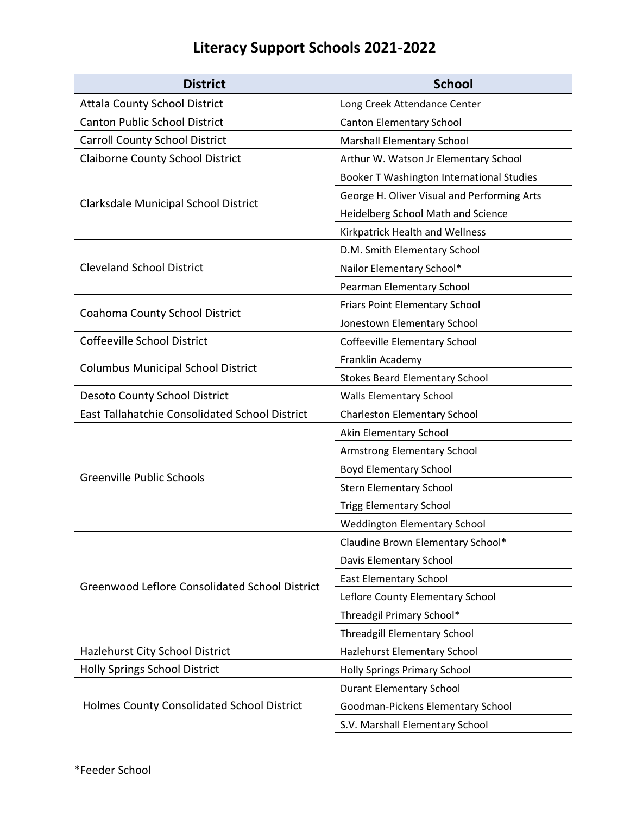## **Literacy Support Schools 2021-2022**

| <b>District</b>                                       | <b>School</b>                               |
|-------------------------------------------------------|---------------------------------------------|
| <b>Attala County School District</b>                  | Long Creek Attendance Center                |
| <b>Canton Public School District</b>                  | <b>Canton Elementary School</b>             |
| <b>Carroll County School District</b>                 | <b>Marshall Elementary School</b>           |
| <b>Claiborne County School District</b>               | Arthur W. Watson Jr Elementary School       |
| Clarksdale Municipal School District                  | Booker T Washington International Studies   |
|                                                       | George H. Oliver Visual and Performing Arts |
|                                                       | Heidelberg School Math and Science          |
|                                                       | Kirkpatrick Health and Wellness             |
| <b>Cleveland School District</b>                      | D.M. Smith Elementary School                |
|                                                       | Nailor Elementary School*                   |
|                                                       | Pearman Elementary School                   |
|                                                       | Friars Point Elementary School              |
| Coahoma County School District                        | Jonestown Elementary School                 |
| Coffeeville School District                           | Coffeeville Elementary School               |
|                                                       | Franklin Academy                            |
| <b>Columbus Municipal School District</b>             | <b>Stokes Beard Elementary School</b>       |
| Desoto County School District                         | Walls Elementary School                     |
| East Tallahatchie Consolidated School District        | <b>Charleston Elementary School</b>         |
|                                                       | Akin Elementary School                      |
|                                                       | Armstrong Elementary School                 |
| <b>Greenville Public Schools</b>                      | <b>Boyd Elementary School</b>               |
|                                                       | <b>Stern Elementary School</b>              |
|                                                       | <b>Trigg Elementary School</b>              |
|                                                       | <b>Weddington Elementary School</b>         |
| <b>Greenwood Leflore Consolidated School District</b> | Claudine Brown Elementary School*           |
|                                                       | Davis Elementary School                     |
|                                                       | <b>East Elementary School</b>               |
|                                                       | Leflore County Elementary School            |
|                                                       | Threadgil Primary School*                   |
|                                                       | <b>Threadgill Elementary School</b>         |
| Hazlehurst City School District                       | Hazlehurst Elementary School                |
| <b>Holly Springs School District</b>                  | <b>Holly Springs Primary School</b>         |
| Holmes County Consolidated School District            | <b>Durant Elementary School</b>             |
|                                                       | Goodman-Pickens Elementary School           |
|                                                       | S.V. Marshall Elementary School             |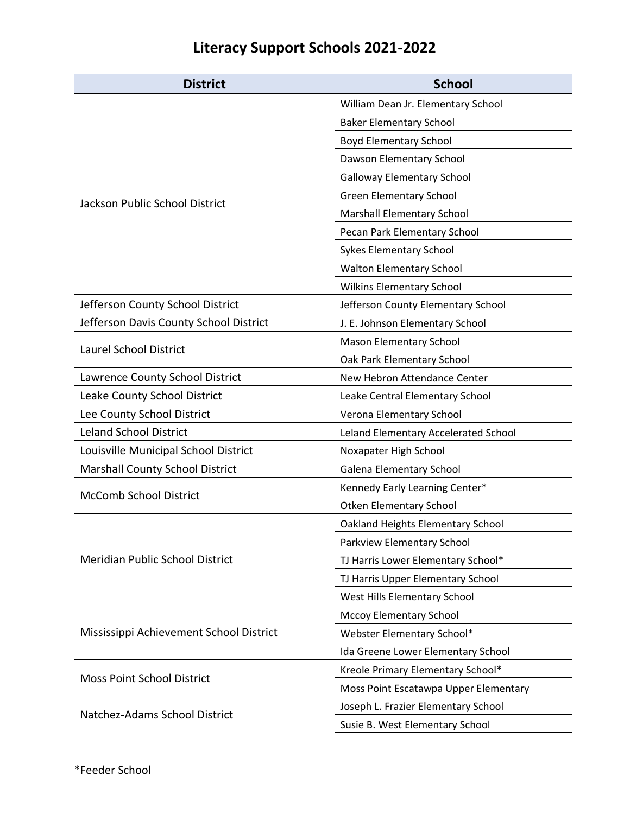## **Literacy Support Schools 2021-2022**

| <b>District</b>                         | <b>School</b>                         |
|-----------------------------------------|---------------------------------------|
|                                         | William Dean Jr. Elementary School    |
| <b>Jackson Public School District</b>   | <b>Baker Elementary School</b>        |
|                                         | <b>Boyd Elementary School</b>         |
|                                         | Dawson Elementary School              |
|                                         | <b>Galloway Elementary School</b>     |
|                                         | <b>Green Elementary School</b>        |
|                                         | Marshall Elementary School            |
|                                         | Pecan Park Elementary School          |
|                                         | <b>Sykes Elementary School</b>        |
|                                         | <b>Walton Elementary School</b>       |
|                                         | <b>Wilkins Elementary School</b>      |
| Jefferson County School District        | Jefferson County Elementary School    |
| Jefferson Davis County School District  | J. E. Johnson Elementary School       |
| <b>Laurel School District</b>           | <b>Mason Elementary School</b>        |
|                                         | Oak Park Elementary School            |
| Lawrence County School District         | New Hebron Attendance Center          |
| Leake County School District            | Leake Central Elementary School       |
| Lee County School District              | Verona Elementary School              |
| <b>Leland School District</b>           | Leland Elementary Accelerated School  |
| Louisville Municipal School District    | Noxapater High School                 |
| Marshall County School District         | <b>Galena Elementary School</b>       |
| <b>McComb School District</b>           | Kennedy Early Learning Center*        |
|                                         | <b>Otken Elementary School</b>        |
| <b>Meridian Public School District</b>  | Oakland Heights Elementary School     |
|                                         | Parkview Elementary School            |
|                                         | TJ Harris Lower Elementary School*    |
|                                         | TJ Harris Upper Elementary School     |
|                                         | West Hills Elementary School          |
| Mississippi Achievement School District | <b>Mccoy Elementary School</b>        |
|                                         | Webster Elementary School*            |
|                                         | Ida Greene Lower Elementary School    |
| <b>Moss Point School District</b>       | Kreole Primary Elementary School*     |
|                                         | Moss Point Escatawpa Upper Elementary |
| Natchez-Adams School District           | Joseph L. Frazier Elementary School   |
|                                         | Susie B. West Elementary School       |